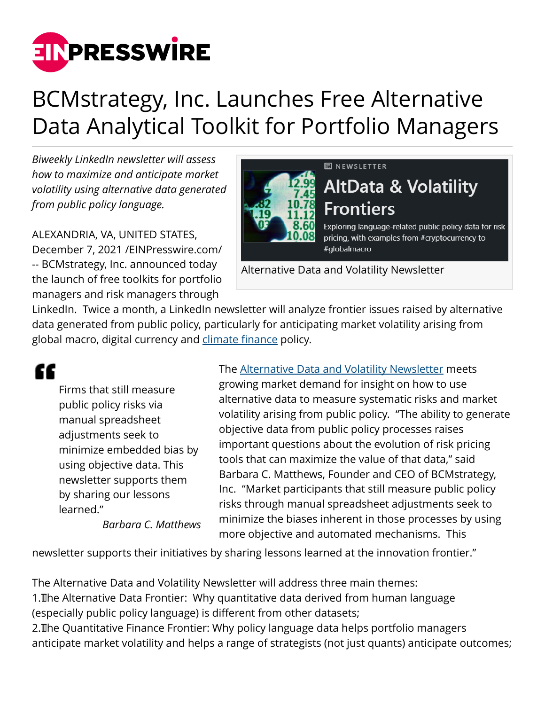

## BCMstrategy, Inc. Launches Free Alternative Data Analytical Toolkit for Portfolio Managers

*Biweekly LinkedIn newsletter will assess how to maximize and anticipate market volatility using alternative data generated from public policy language.*

ALEXANDRIA, VA, UNITED STATES, December 7, 2021 /[EINPresswire.com](http://www.einpresswire.com)/ -- BCMstrategy, Inc. announced today the launch of free toolkits for portfolio managers and risk managers through

## **同 NEWSLETTER**



Exploring language-related public policy data for risk pricing, with examples from #cryptocurrency to #globalmacro

Alternative Data and Volatility Newsletter

LinkedIn. Twice a month, a LinkedIn newsletter will analyze frontier issues raised by alternative data generated from public policy, particularly for anticipating market volatility arising from global macro, digital currency and [climate finance](https://www.bcmstrategy2.com/post/climate-related-risk-policy-next-steps) policy.

££

Firms that still measure public policy risks via manual spreadsheet adjustments seek to minimize embedded bias by using objective data. This newsletter supports them by sharing our lessons learned."

*Barbara C. Matthews*

The [Alternative Data and Volatility Newsletter](https://www.linkedin.com/newsletters/altdata-volatility-frontiers-6872195290791841793/) meets growing market demand for insight on how to use alternative data to measure systematic risks and market volatility arising from public policy. "The ability to generate objective data from public policy processes raises important questions about the evolution of risk pricing tools that can maximize the value of that data," said Barbara C. Matthews, Founder and CEO of BCMstrategy, Inc. "Market participants that still measure public policy risks through manual spreadsheet adjustments seek to minimize the biases inherent in those processes by using more objective and automated mechanisms. This

newsletter supports their initiatives by sharing lessons learned at the innovation frontier."

The Alternative Data and Volatility Newsletter will address three main themes:

1. The Alternative Data Frontier: Why quantitative data derived from human language (especially public policy language) is different from other datasets;

2. The Quantitative Finance Frontier: Why policy language data helps portfolio managers anticipate market volatility and helps a range of strategists (not just quants) anticipate outcomes;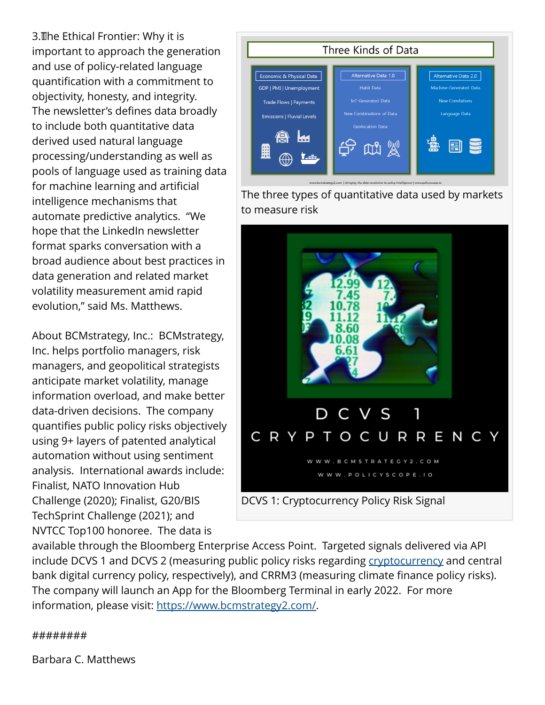3. The Ethical Frontier: Why it is important to approach the generation and use of policy-related language quantification with a commitment to objectivity, honesty, and integrity. The newsletter's defines data broadly to include both quantitative data derived used natural language processing/understanding as well as pools of language used as training data for machine learning and artificial intelligence mechanisms that automate predictive analytics. "We hope that the LinkedIn newsletter format sparks conversation with a broad audience about best practices in data generation and related market volatility measurement amid rapid evolution," said Ms. Matthews.

About BCMstrategy, Inc.: BCMstrategy, Inc. helps portfolio managers, risk managers, and geopolitical strategists anticipate market volatility, manage information overload, and make better data-driven decisions. The company quantifies public policy risks objectively using 9+ layers of patented analytical automation without using sentiment analysis. International awards include: Finalist, NATO Innovation Hub Challenge (2020); Finalist, G20/BIS TechSprint Challenge (2021); and NVTCC Top100 honoree. The data is

Three Kinds of Data Alternative Data 1.0 Economic & Physical Data Alternative Data 2.0 Habit Data Machine-Generated Data GDP | PMI | Unemployment Trade Flows | Payments Language Data Emissions | Fluvial Levels Geolocation Data  $\mathbb{C}$ 用

The three types of quantitative data used by markets to measure risk



available through the Bloomberg Enterprise Access Point. Targeted signals delivered via API include DCVS 1 and DCVS 2 (measuring public policy risks regarding [cryptocurrency](https://www.bcmstrategy2.com/post/product-launch-digital-currency-policy-volatility-signals) and central bank digital currency policy, respectively), and CRRM3 (measuring climate finance policy risks). The company will launch an App for the Bloomberg Terminal in early 2022. For more information, please visit: <https://www.bcmstrategy2.com/>.

## ########

Barbara C. Matthews